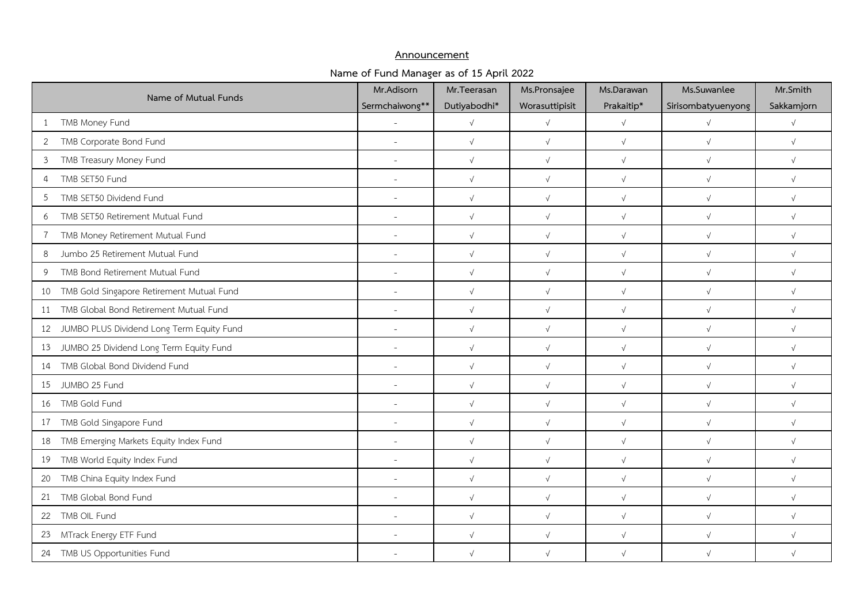## **Announcement**

**Name of Fund Manager as of 15 April 2022**

| Name of Mutual Funds                            | Mr.Adisorn     | Mr.Teerasan  | Ms.Pronsajee   | Ms.Darawan | Ms.Suwanlee        | Mr.Smith   |
|-------------------------------------------------|----------------|--------------|----------------|------------|--------------------|------------|
|                                                 | Sermchaiwong** | Dutiyabodhi* | Worasuttipisit | Prakaitip* | Sirisombatyuenyong | Sakkamjorn |
| TMB Money Fund<br>1                             | $\sim$         | $\sqrt{}$    | $\sqrt{}$      | $\sqrt{}$  | $\sqrt{ }$         | $\sqrt{ }$ |
| TMB Corporate Bond Fund<br>$\overline{2}$       | $\sim$         | $\sqrt{ }$   | $\sqrt{}$      | $\sqrt{}$  | $\sqrt{}$          | $\sqrt{}$  |
| TMB Treasury Money Fund<br>3                    | $\sim$         | $\sqrt{}$    | $\sqrt{}$      | $\sqrt{}$  | $\sqrt{}$          | $\sqrt{}$  |
| TMB SET50 Fund<br>4                             | $\sim$         | $\sqrt{}$    | $\sqrt{}$      | $\sqrt{}$  | $\sqrt{}$          | $\sqrt{}$  |
| TMB SET50 Dividend Fund<br>5                    | $\sim$         | $\sqrt{}$    | $\sqrt{}$      | $\sqrt{}$  | $\sqrt{}$          | $\sqrt{}$  |
| TMB SET50 Retirement Mutual Fund<br>6           | $\sim$         | $\sqrt{ }$   | $\sqrt{}$      | $\sqrt{}$  | $\sqrt{ }$         | $\sqrt{ }$ |
| TMB Money Retirement Mutual Fund<br>7           | $\sim$         | $\sqrt{ }$   | $\sqrt{}$      | $\sqrt{}$  | $\sqrt{ }$         | $\sqrt{}$  |
| Jumbo 25 Retirement Mutual Fund<br>8            | $\sim$         | $\sqrt{}$    | $\sqrt{}$      | $\sqrt{}$  | $\sqrt{}$          | $\sqrt{ }$ |
| TMB Bond Retirement Mutual Fund<br>9            | $\sim$         | $\sqrt{ }$   | $\sqrt{}$      | $\sqrt{}$  | $\sqrt{}$          | $\sqrt{}$  |
| TMB Gold Singapore Retirement Mutual Fund<br>10 | $\sim$         | $\sqrt{}$    | $\sqrt{}$      | $\sqrt{}$  | $\sqrt{}$          | $\sqrt{ }$ |
| TMB Global Bond Retirement Mutual Fund<br>11    | $\equiv$       | $\sqrt{}$    | $\sqrt{}$      | $\sqrt{}$  | $\sqrt{}$          | $\sqrt{}$  |
| JUMBO PLUS Dividend Long Term Equity Fund<br>12 | $\sim$         | $\sqrt{}$    | $\sqrt{}$      | $\sqrt{}$  | $\sqrt{ }$         | $\sqrt{ }$ |
| JUMBO 25 Dividend Long Term Equity Fund<br>13   | $\sim$         | $\sqrt{}$    | $\sqrt{}$      | $\sqrt{}$  | $\sqrt{}$          | $\sqrt{}$  |
| 14 TMB Global Bond Dividend Fund                | $\sim$         | $\sqrt{}$    | $\sqrt{}$      | $\sqrt{}$  | $\sqrt{}$          | $\sqrt{}$  |
| JUMBO 25 Fund<br>15                             | $\equiv$       | $\sqrt{}$    | $\sqrt{}$      | $\sqrt{}$  | $\sqrt{}$          | $\sqrt{ }$ |
| TMB Gold Fund<br>16                             | $\sim$         | $\sqrt{ }$   | $\sqrt{}$      | $\sqrt{}$  | $\sqrt{ }$         | $\sqrt{}$  |
| 17 TMB Gold Singapore Fund                      | $\sim$         | $\sqrt{ }$   | $\sqrt{}$      | $\sqrt{}$  | $\sqrt{ }$         | $\sqrt{}$  |
| TMB Emerging Markets Equity Index Fund<br>18    | $\sim$         | $\sqrt{}$    | $\sqrt{}$      | $\sqrt{}$  | $\sqrt{}$          | $\sqrt{}$  |
| TMB World Equity Index Fund<br>19               | $\sim$         | $\sqrt{}$    | $\sqrt{}$      | $\sqrt{}$  | $\sqrt{}$          | $\sqrt{}$  |
| TMB China Equity Index Fund<br>20               | $\sim$         | $\sqrt{ }$   | $\sqrt{}$      | $\sqrt{}$  | $\sqrt{ }$         | $\sqrt{}$  |
| 21 TMB Global Bond Fund                         | $\sim$         | $\sqrt{ }$   | $\sqrt{}$      | $\sqrt{}$  | $\sqrt{}$          | $\sqrt{}$  |
| TMB OIL Fund<br>22                              | $\sim$         | $\sqrt{ }$   | $\sqrt{}$      | $\sqrt{}$  | $\sqrt{ }$         | $\sqrt{ }$ |
| MTrack Energy ETF Fund<br>23                    | $\sim$         | $\sqrt{}$    | $\sqrt{}$      | $\sqrt{}$  | $\sqrt{}$          | $\sqrt{}$  |
| 24 TMB US Opportunities Fund                    |                | $\sqrt{}$    | $\sqrt{}$      | $\sqrt{}$  | $\sqrt{}$          | $\sqrt{}$  |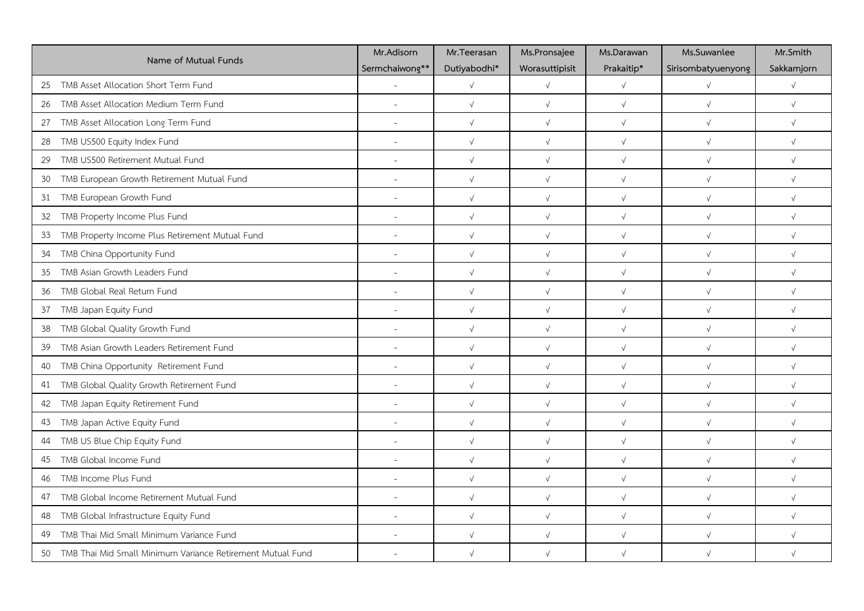| Name of Mutual Funds                                          | Mr.Adisorn               | Mr.Teerasan  | Ms.Pronsajee   | Ms.Darawan | Ms.Suwanlee        | Mr.Smith   |
|---------------------------------------------------------------|--------------------------|--------------|----------------|------------|--------------------|------------|
|                                                               | Sermchaiwong**           | Dutiyabodhi* | Worasuttipisit | Prakaitip* | Sirisombatyuenyong | Sakkamjorn |
| 25 TMB Asset Allocation Short Term Fund                       | $\sim$                   | $\sqrt{}$    | $\sqrt{}$      | $\sqrt{}$  | $\sqrt{}$          | $\sqrt{}$  |
| TMB Asset Allocation Medium Term Fund<br>26                   | $\sim$                   | $\sqrt{}$    | $\sqrt{}$      | $\sqrt{}$  | $\sqrt{}$          | $\sqrt{}$  |
| TMB Asset Allocation Long Term Fund<br>27                     | $\sim$                   | $\sqrt{ }$   | $\sqrt{}$      | $\sqrt{}$  | $\sqrt{}$          | $\sqrt{}$  |
| TMB US500 Equity Index Fund<br>28                             | $\overline{\phantom{a}}$ | $\sqrt{}$    | $\sqrt{}$      | $\sqrt{}$  | $\sqrt{}$          | $\sqrt{}$  |
| TMB US500 Retirement Mutual Fund<br>29                        | $\sim$                   | $\sqrt{ }$   | $\sqrt{ }$     | $\sqrt{}$  | $\sqrt{}$          | $\sqrt{}$  |
| TMB European Growth Retirement Mutual Fund<br>30              | $\omega$                 | $\sqrt{}$    | $\sqrt{}$      | $\sqrt{}$  | $\sqrt{}$          | $\sqrt{}$  |
| 31 TMB European Growth Fund                                   | $\overline{\phantom{a}}$ | $\sqrt{ }$   | $\sqrt{}$      | $\sqrt{}$  | $\sqrt{}$          | $\sqrt{}$  |
| TMB Property Income Plus Fund<br>32                           | $\sim$                   | $\sqrt{}$    | $\sqrt{}$      | $\sqrt{}$  | $\sqrt{}$          | $\sqrt{}$  |
| TMB Property Income Plus Retirement Mutual Fund<br>33         | $\sim$                   | $\sqrt{}$    | $\sqrt{}$      | $\sqrt{}$  | $\sqrt{}$          | $\sqrt{}$  |
| TMB China Opportunity Fund<br>34                              | $\sim$                   | $\sqrt{ }$   | $\sqrt{}$      | $\sqrt{}$  | $\sqrt{}$          | $\sqrt{}$  |
| TMB Asian Growth Leaders Fund<br>35                           | $\sim$                   | $\sqrt{ }$   | $\sqrt{}$      | $\sqrt{}$  | $\sqrt{}$          | $\sqrt{}$  |
| TMB Global Real Return Fund<br>36                             | $\overline{\phantom{a}}$ | $\sqrt{}$    | $\sqrt{}$      | $\sqrt{}$  | $\sqrt{}$          | $\sqrt{}$  |
| 37 TMB Japan Equity Fund                                      | $\sim$                   | $\checkmark$ | $\sqrt{}$      | $\sqrt{}$  | $\sqrt{}$          | $\sqrt{}$  |
| TMB Global Quality Growth Fund<br>38                          | $\sim$                   | $\sqrt{}$    | $\sqrt{}$      | $\sqrt{}$  | $\sqrt{}$          | $\sqrt{}$  |
| TMB Asian Growth Leaders Retirement Fund<br>39                | $\sim$                   | $\sqrt{ }$   | $\sqrt{}$      | $\sqrt{}$  | $\sqrt{}$          | $\sqrt{}$  |
| TMB China Opportunity Retirement Fund<br>40                   | $\sim$                   | $\sqrt{}$    | $\sqrt{}$      | $\sqrt{}$  | $\sqrt{}$          | $\sqrt{}$  |
| 41 TMB Global Quality Growth Retirement Fund                  | $\overline{\phantom{a}}$ | $\sqrt{ }$   | $\sqrt{ }$     | $\sqrt{}$  | $\sqrt{}$          | $\sqrt{}$  |
| TMB Japan Equity Retirement Fund<br>42                        | $\sim$                   | $\sqrt{ }$   | $\sqrt{}$      | $\sqrt{}$  | $\sqrt{}$          | $\sqrt{}$  |
| TMB Japan Active Equity Fund<br>43                            | $\sim$                   | $\sqrt{}$    | $\sqrt{}$      | $\sqrt{}$  | $\sqrt{}$          | $\sqrt{}$  |
| TMB US Blue Chip Equity Fund<br>44                            | $\sim$                   | $\checkmark$ | $\sqrt{}$      | $\sqrt{}$  | $\sqrt{}$          | $\sqrt{}$  |
| TMB Global Income Fund<br>45                                  | $\sim$                   | $\sqrt{}$    | $\sqrt{}$      | $\sqrt{}$  | $\sqrt{}$          | $\sqrt{}$  |
| TMB Income Plus Fund<br>46                                    | $\sim$                   | $\sqrt{ }$   | $\sqrt{}$      | $\sqrt{}$  | $\sqrt{}$          | $\sqrt{}$  |
| 47 TMB Global Income Retirement Mutual Fund                   | $\sim$                   | $\sqrt{}$    | $\sqrt{}$      | $\sqrt{}$  | $\sqrt{}$          | $\sqrt{}$  |
| TMB Global Infrastructure Equity Fund<br>48                   | $\sim$                   | $\sqrt{}$    | $\sqrt{}$      | $\sqrt{}$  | $\sqrt{}$          | $\sqrt{}$  |
| TMB Thai Mid Small Minimum Variance Fund<br>49                | $\sim$                   | $\sqrt{}$    | $\sqrt{}$      | $\sqrt{}$  | $\sqrt{}$          | $\sqrt{}$  |
| 50 TMB Thai Mid Small Minimum Variance Retirement Mutual Fund |                          | $\sqrt{}$    | $\sqrt{}$      | $\sqrt{}$  | $\sqrt{}$          | $\sqrt{}$  |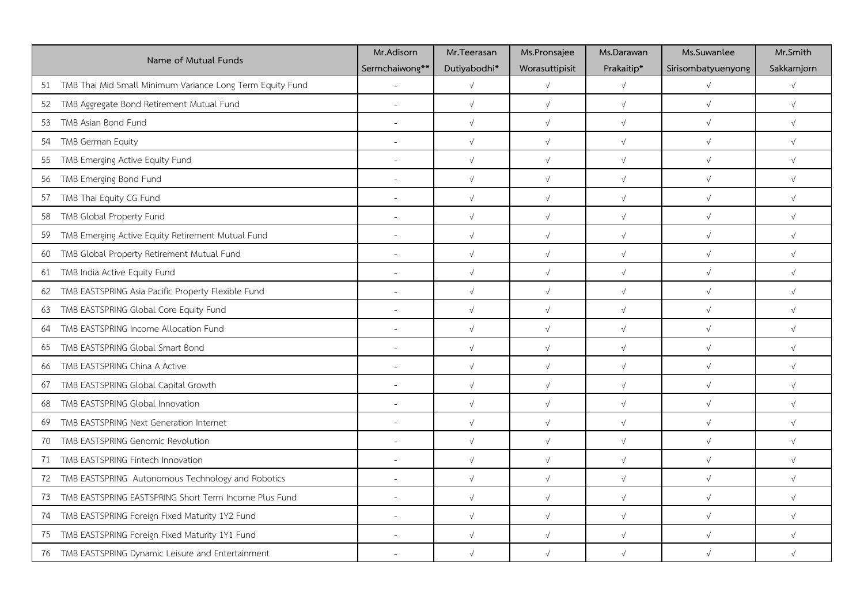| Name of Mutual Funds                                         | Mr.Adisorn               | Mr.Teerasan  | Ms.Pronsajee   | Ms.Darawan | Ms.Suwanlee        | Mr.Smith   |
|--------------------------------------------------------------|--------------------------|--------------|----------------|------------|--------------------|------------|
|                                                              | Sermchaiwong**           | Dutiyabodhi* | Worasuttipisit | Prakaitip* | Sirisombatyuenyong | Sakkamjorn |
| 51 TMB Thai Mid Small Minimum Variance Long Term Equity Fund |                          | $\sqrt{}$    | $\sqrt{}$      | $\sqrt{}$  | $\sqrt{}$          | $\sqrt{}$  |
| TMB Aggregate Bond Retirement Mutual Fund<br>52              | $\sim$                   | $\sqrt{}$    | $\sqrt{}$      | $\sqrt{}$  | $\sqrt{}$          | $\sqrt{}$  |
| TMB Asian Bond Fund<br>53                                    | $\sim$                   | $\sqrt{}$    | $\sqrt{}$      | $\sqrt{}$  | $\sqrt{}$          | $\sqrt{}$  |
| TMB German Equity<br>54                                      | $\overline{\phantom{a}}$ | $\sqrt{}$    | $\sqrt{}$      | $\sqrt{}$  | $\sqrt{}$          | $\sqrt{2}$ |
| TMB Emerging Active Equity Fund<br>55                        | $\sim$                   | $\sqrt{}$    | $\sqrt{}$      | $\sqrt{}$  | $\sqrt{}$          | $\sqrt{}$  |
| TMB Emerging Bond Fund<br>56                                 | $\overline{a}$           | $\sqrt{}$    | $\sqrt{}$      | $\sqrt{}$  | $\sqrt{}$          | $\sqrt{}$  |
| TMB Thai Equity CG Fund<br>57                                | $\sim$                   | $\sqrt{}$    | $\sqrt{}$      | $\sqrt{}$  | $\sqrt{}$          | $\sqrt{}$  |
| TMB Global Property Fund<br>58                               | $\sim$                   | $\sqrt{}$    | $\sqrt{}$      | $\sqrt{}$  | $\sqrt{}$          | $\sqrt{}$  |
| TMB Emerging Active Equity Retirement Mutual Fund<br>59      | $\sim$                   | $\sqrt{}$    | $\sqrt{}$      | $\sqrt{}$  | $\sqrt{}$          | $\sqrt{}$  |
| TMB Global Property Retirement Mutual Fund<br>60             | $\sim$                   | $\sqrt{}$    | $\sqrt{}$      | $\sqrt{}$  | $\sqrt{}$          | $\sqrt{}$  |
| TMB India Active Equity Fund<br>61                           |                          | $\sqrt{}$    | $\sqrt{}$      | $\sqrt{}$  | $\sqrt{}$          | $\sqrt{}$  |
| TMB EASTSPRING Asia Pacific Property Flexible Fund<br>62     | $\sim$                   | $\sqrt{}$    | $\sqrt{}$      | $\sqrt{}$  | $\sqrt{}$          | $\sqrt{}$  |
| TMB EASTSPRING Global Core Equity Fund<br>63                 | $\sim$                   | $\sqrt{}$    | $\sqrt{}$      | $\sqrt{}$  | $\sqrt{}$          | $\sqrt{}$  |
| TMB EASTSPRING Income Allocation Fund<br>64                  | $\sim$                   | $\sqrt{}$    | $\sqrt{}$      | $\sqrt{}$  | $\sqrt{}$          | $\sqrt{}$  |
| TMB EASTSPRING Global Smart Bond<br>65                       | $\sim$                   | $\sqrt{ }$   | $\sqrt{}$      | $\sqrt{}$  | $\sqrt{}$          | $\sqrt{}$  |
| 66 TMB EASTSPRING China A Active                             | $\sim$                   | $\sqrt{}$    | $\sqrt{}$      | $\sqrt{}$  | $\sqrt{}$          | $\sqrt{}$  |
| TMB EASTSPRING Global Capital Growth<br>67                   | $\sim$                   | $\sqrt{}$    | $\sqrt{}$      | $\sqrt{}$  | $\sqrt{}$          | $\sqrt{}$  |
| TMB EASTSPRING Global Innovation<br>68                       | $\sim$                   | $\sqrt{}$    | $\sqrt{}$      | $\sqrt{}$  | $\sqrt{}$          | $\sqrt{}$  |
| TMB EASTSPRING Next Generation Internet<br>69                | $\sim$                   | $\sqrt{}$    | $\sqrt{}$      | $\sqrt{}$  | $\sqrt{}$          | $\sqrt{}$  |
| TMB EASTSPRING Genomic Revolution<br>70                      | $\sim$                   | $\sqrt{}$    | $\sqrt{}$      | $\sqrt{}$  | $\sqrt{}$          | $\sqrt{}$  |
| TMB EASTSPRING Fintech Innovation<br>71                      | $\sim$                   | $\sqrt{}$    | $\sqrt{}$      | $\sqrt{}$  | $\sqrt{}$          | $\sqrt{}$  |
| TMB EASTSPRING Autonomous Technology and Robotics<br>72      | $\sim$                   | $\sqrt{}$    | $\sqrt{}$      | $\sqrt{}$  | $\sqrt{}$          | $\sqrt{}$  |
| 73 TMB EASTSPRING EASTSPRING Short Term Income Plus Fund     | $\sim$                   | $\sqrt{}$    | $\sqrt{}$      | $\sqrt{}$  | $\sqrt{}$          | $\sqrt{}$  |
| TMB EASTSPRING Foreign Fixed Maturity 1Y2 Fund<br>74         | $\sim$                   | $\sqrt{}$    | $\sqrt{}$      | $\sqrt{}$  | $\sqrt{}$          | $\sqrt{}$  |
| TMB EASTSPRING Foreign Fixed Maturity 1Y1 Fund<br>75         |                          | $\sqrt{}$    | $\sqrt{}$      | $\sqrt{}$  | $\sqrt{}$          | $\sqrt{}$  |
| 76 TMB EASTSPRING Dynamic Leisure and Entertainment          |                          | $\sqrt{}$    | $\sqrt{}$      | $\sqrt{}$  | $\sqrt{}$          | $\sqrt{}$  |